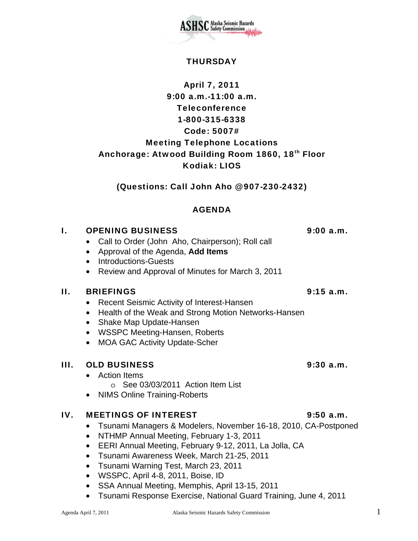

### IV. MEETINGS OF INTEREST 4.5 a.m.

- Tsunami Managers & Modelers, November 16-18, 2010, CA-Postponed
- NTHMP Annual Meeting, February 1-3, 2011
- EERI Annual Meeting, February 9-12, 2011, La Jolla, CA
- Tsunami Awareness Week, March 21-25, 2011
- Tsunami Warning Test, March 23, 2011
- WSSPC, April 4-8, 2011, Boise, ID
- SSA Annual Meeting, Memphis, April 13-15, 2011
- Tsunami Response Exercise, National Guard Training, June 4, 2011

## **THURSDAY**

SC Alaska Seismic Hazards<br>Safety Commission

# April 7, 2011 9:00 a.m.-11:00 a.m. Teleconference 1-800-315-6338 Code: 5007# Meeting Telephone Locations Anchorage: Atwood Building Room 1860, 18th Floor Kodiak: LIOS

## (Questions: Call John Aho @ 907-230-2432)

## AGENDA

## I. OPENING BUSINESS 9:00 a.m.

- Call to Order (John Aho, Chairperson); Roll call
- Approval of the Agenda, **Add Items**
- Introductions-Guests
- Review and Approval of Minutes for March 3, 2011

## II. BRIEFINGS 9:15 a.m.

- Recent Seismic Activity of Interest-Hansen
- Health of the Weak and Strong Motion Networks-Hansen
- Shake Map Update-Hansen
- WSSPC Meeting-Hansen, Roberts
- MOA GAC Activity Update-Scher

## III. OLD BUSINESS 9:30 a.m.

- Action Items
	- o See 03/03/2011 Action Item List
- NIMS Online Training-Roberts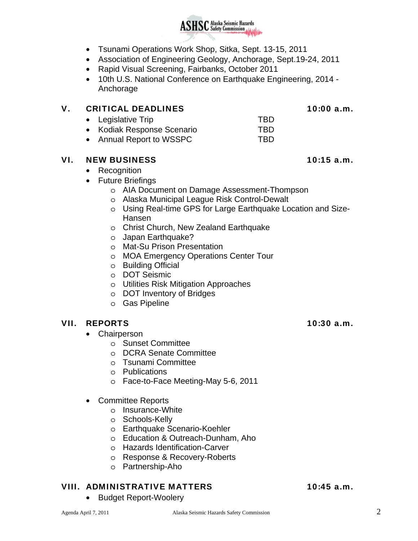- Tsunami Operations Work Shop, Sitka, Sept. 13-15, 2011
- Association of Engineering Geology, Anchorage, Sept.19-24, 2011
- Rapid Visual Screening, Fairbanks, October 2011
- 10th U.S. National Conference on Earthquake Engineering, 2014 Anchorage

### V. CRITICAL DEADLINES 10:00 a.m.

- Legislative Trip TBD
- Kodiak Response Scenario TBD
- Annual Report to WSSPC TBD

## VI. NEW BUSINESS 10:15 a.m.

## • Recognition

- Future Briefings
	- o AIA Document on Damage Assessment-Thompson
	- o Alaska Municipal League Risk Control-Dewalt
	- o Using Real-time GPS for Large Earthquake Location and Size-Hansen
	- o Christ Church, New Zealand Earthquake
	- o Japan Earthquake?
	- o Mat-Su Prison Presentation
	- o MOA Emergency Operations Center Tour
	- o Building Official
	- o DOT Seismic
	- o Utilities Risk Mitigation Approaches
	- o DOT Inventory of Bridges
	- o Gas Pipeline

## VII. REPORTS 10:30 a.m.

- Chairperson
	- o Sunset Committee
	- o DCRA Senate Committee
	- o Tsunami Committee
	- o Publications
	- o Face-to-Face Meeting-May 5-6, 2011
- Committee Reports
	- o Insurance-White
	- o Schools-Kelly
	- o Earthquake Scenario-Koehler
	- o Education & Outreach-Dunham, Aho
	- o Hazards Identification-Carver
	- o Response & Recovery-Roberts
	- o Partnership-Aho

## VIII. ADMINISTRATIVE MATTERS 10:45 a.m.

• Budget Report-Woolery